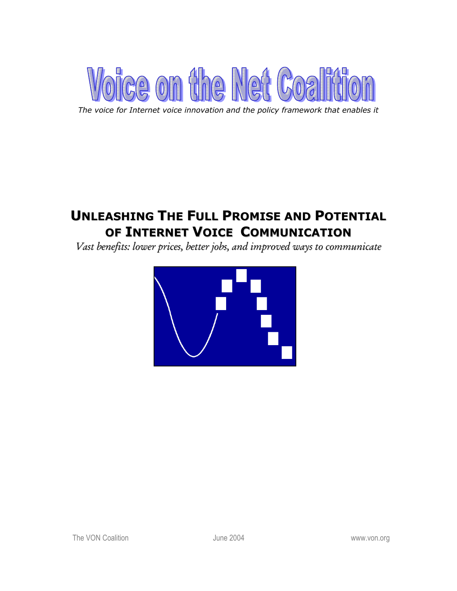

*The voice for Internet voice innovation and the policy framework that enables it* 

# **UNLEASHING THE FULL PROMISE AND POTENTIAL OF INTERNET VOICE COMMUNICATION**

*Vast benefits: lower prices, better jobs, and improved ways to communicate*

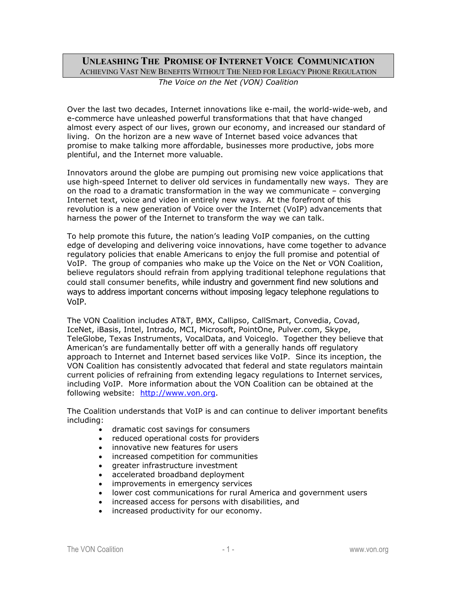# **UNLEASHING THE PROMISE OF INTERNET VOICE COMMUNICATION** ACHIEVING VAST NEW BENEFITS WITHOUT THE NEED FOR LEGACY PHONE REGULATION *The Voice on the Net (VON) Coalition*

Over the last two decades, Internet innovations like e-mail, the world-wide-web, and e-commerce have unleashed powerful transformations that that have changed almost every aspect of our lives, grown our economy, and increased our standard of living. On the horizon are a new wave of Internet based voice advances that promise to make talking more affordable, businesses more productive, jobs more plentiful, and the Internet more valuable.

Innovators around the globe are pumping out promising new voice applications that use high-speed Internet to deliver old services in fundamentally new ways. They are on the road to a dramatic transformation in the way we communicate – converging Internet text, voice and video in entirely new ways. At the forefront of this revolution is a new generation of Voice over the Internet (VoIP) advancements that harness the power of the Internet to transform the way we can talk.

To help promote this future, the nation's leading VoIP companies, on the cutting edge of developing and delivering voice innovations, have come together to advance regulatory policies that enable Americans to enjoy the full promise and potential of VoIP. The group of companies who make up the Voice on the Net or VON Coalition, believe regulators should refrain from applying traditional telephone regulations that could stall consumer benefits, while industry and government find new solutions and ways to address important concerns without imposing legacy telephone regulations to VoIP.

The VON Coalition includes AT&T, BMX, Callipso, CallSmart, Convedia, Covad, IceNet, iBasis, Intel, Intrado, MCI, Microsoft, PointOne, Pulver.com, Skype, TeleGlobe, Texas Instruments, VocalData, and Voiceglo. Together they believe that American's are fundamentally better off with a generally hands off regulatory approach to Internet and Internet based services like VoIP. Since its inception, the VON Coalition has consistently advocated that federal and state regulators maintain current policies of refraining from extending legacy regulations to Internet services, including VoIP. More information about the VON Coalition can be obtained at the following website: http://www.von.org.

The Coalition understands that VoIP is and can continue to deliver important benefits including:

- dramatic cost savings for consumers
- reduced operational costs for providers
- innovative new features for users
- increased competition for communities
- greater infrastructure investment
- accelerated broadband deployment
- improvements in emergency services
- lower cost communications for rural America and government users
- increased access for persons with disabilities, and
- increased productivity for our economy.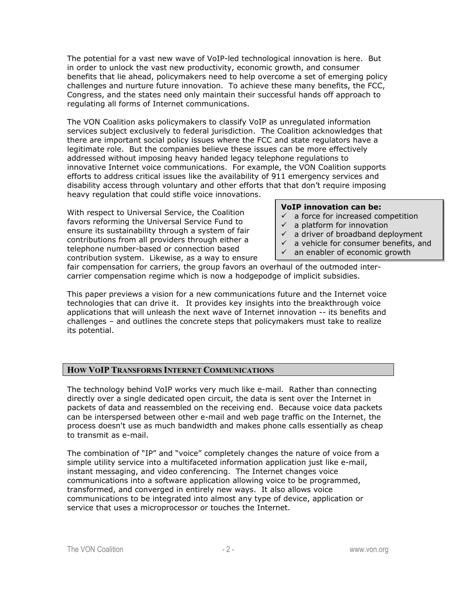The potential for a vast new wave of VoIP-led technological innovation is here. But in order to unlock the vast new productivity, economic growth, and consumer benefits that lie ahead, policymakers need to help overcome a set of emerging policy challenges and nurture future innovation. To achieve these many benefits, the FCC, Congress, and the states need only maintain their successful hands off approach to regulating all forms of Internet communications.

The VON Coalition asks policymakers to classify VoIP as unregulated information services subject exclusively to federal jurisdiction. The Coalition acknowledges that there are important social policy issues where the FCC and state regulators have a legitimate role. But the companies believe these issues can be more effectively addressed without imposing heavy handed legacy telephone regulations to innovative Internet voice communications. For example, the VON Coalition supports efforts to address critical issues like the availability of 911 emergency services and disability access through voluntary and other efforts that that don't require imposing heavy regulation that could stifle voice innovations.

With respect to Universal Service, the Coalition favors reforming the Universal Service Fund to ensure its sustainability through a system of fair contributions from all providers through either a telephone number-based or connection based contribution system. Likewise, as a way to ensure

#### **VoIP innovation can be:**

- $\checkmark$  a force for increased competition
- $\checkmark$  a platform for innovation
- $\checkmark$  a driver of broadband deployment
- $\checkmark$  a vehicle for consumer benefits, and
- $\checkmark$  an enabler of economic growth

fair compensation for carriers, the group favors an overhaul of the outmoded intercarrier compensation regime which is now a hodgepodge of implicit subsidies.

This paper previews a vision for a new communications future and the Internet voice technologies that can drive it. It provides key insights into the breakthrough voice applications that will unleash the next wave of Internet innovation -- its benefits and challenges – and outlines the concrete steps that policymakers must take to realize its potential.

# **HOW VOIP TRANSFORMS INTERNET COMMUNICATIONS**

The technology behind VoIP works very much like e-mail. Rather than connecting directly over a single dedicated open circuit, the data is sent over the Internet in packets of data and reassembled on the receiving end. Because voice data packets can be interspersed between other e-mail and web page traffic on the Internet, the process doesn't use as much bandwidth and makes phone calls essentially as cheap to transmit as e-mail.

The combination of "IP" and "voice" completely changes the nature of voice from a simple utility service into a multifaceted information application just like e-mail, instant messaging, and video conferencing. The Internet changes voice communications into a software application allowing voice to be programmed, transformed, and converged in entirely new ways. It also allows voice communications to be integrated into almost any type of device, application or service that uses a microprocessor or touches the Internet.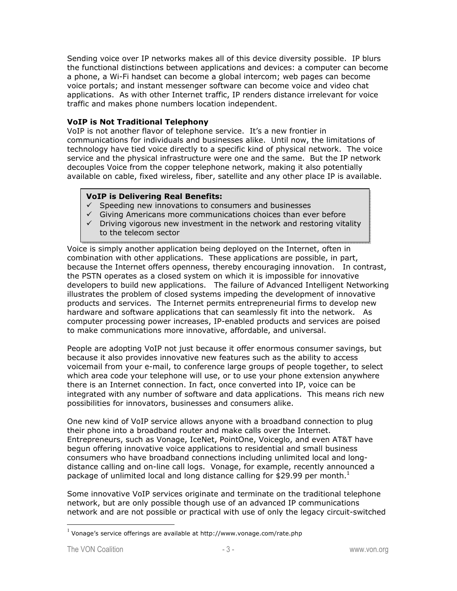Sending voice over IP networks makes all of this device diversity possible. IP blurs the functional distinctions between applications and devices: a computer can become a phone, a Wi-Fi handset can become a global intercom; web pages can become voice portals; and instant messenger software can become voice and video chat applications. As with other Internet traffic, IP renders distance irrelevant for voice traffic and makes phone numbers location independent.

### **VoIP is Not Traditional Telephony**

VoIP is not another flavor of telephone service. It's a new frontier in communications for individuals and businesses alike. Until now, the limitations of technology have tied voice directly to a specific kind of physical network. The voice service and the physical infrastructure were one and the same. But the IP network decouples Voice from the copper telephone network, making it also potentially available on cable, fixed wireless, fiber, satellite and any other place IP is available.

#### **VoIP is Delivering Real Benefits:**

- $\checkmark$  Speeding new innovations to consumers and businesses
- $\checkmark$  Giving Americans more communications choices than ever before
- $\checkmark$  Driving vigorous new investment in the network and restoring vitality to the telecom sector

Voice is simply another application being deployed on the Internet, often in combination with other applications. These applications are possible, in part, because the Internet offers openness, thereby encouraging innovation. In contrast, the PSTN operates as a closed system on which it is impossible for innovative developers to build new applications. The failure of Advanced Intelligent Networking illustrates the problem of closed systems impeding the development of innovative products and services. The Internet permits entrepreneurial firms to develop new hardware and software applications that can seamlessly fit into the network. As computer processing power increases, IP-enabled products and services are poised to make communications more innovative, affordable, and universal.

People are adopting VoIP not just because it offer enormous consumer savings, but because it also provides innovative new features such as the ability to access voicemail from your e-mail, to conference large groups of people together, to select which area code your telephone will use, or to use your phone extension anywhere there is an Internet connection. In fact, once converted into IP, voice can be integrated with any number of software and data applications. This means rich new possibilities for innovators, businesses and consumers alike.

One new kind of VoIP service allows anyone with a broadband connection to plug their phone into a broadband router and make calls over the Internet. Entrepreneurs, such as Vonage, IceNet, PointOne, Voiceglo, and even AT&T have begun offering innovative voice applications to residential and small business consumers who have broadband connections including unlimited local and longdistance calling and on-line call logs. Vonage, for example, recently announced a package of unlimited local and long distance calling for \$29.99 per month.<sup>1</sup>

Some innovative VoIP services originate and terminate on the traditional telephone network, but are only possible though use of an advanced IP communications network and are not possible or practical with use of only the legacy circuit-switched

 $<sup>1</sup>$  Vonage's service offerings are available at http://www.vonage.com/rate.php</sup>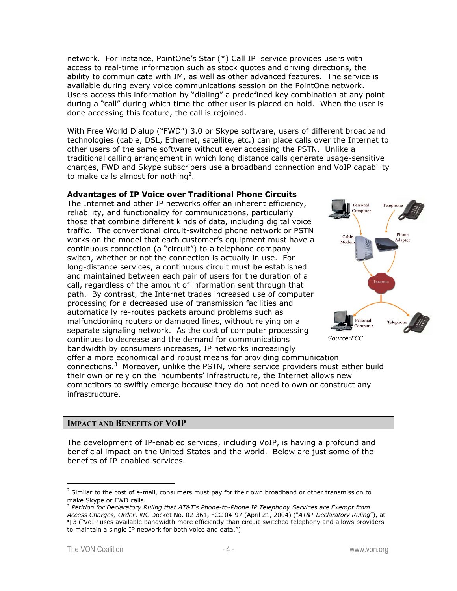network. For instance, PointOne's Star (\*) Call IP service provides users with access to real-time information such as stock quotes and driving directions, the ability to communicate with IM, as well as other advanced features. The service is available during every voice communications session on the PointOne network. Users access this information by "dialing" a predefined key combination at any point during a "call" during which time the other user is placed on hold. When the user is done accessing this feature, the call is rejoined.

With Free World Dialup ("FWD") 3.0 or Skype software, users of different broadband technologies (cable, DSL, Ethernet, satellite, etc.) can place calls over the Internet to other users of the same software without ever accessing the PSTN. Unlike a traditional calling arrangement in which long distance calls generate usage-sensitive charges, FWD and Skype subscribers use a broadband connection and VoIP capability to make calls almost for nothing<sup>2</sup>.

# **Advantages of IP Voice over Traditional Phone Circuits**

The Internet and other IP networks offer an inherent efficiency, reliability, and functionality for communications, particularly those that combine different kinds of data, including digital voice traffic. The conventional circuit-switched phone network or PSTN works on the model that each customer's equipment must have a continuous connection (a "circuit") to a telephone company switch, whether or not the connection is actually in use. For long-distance services, a continuous circuit must be established and maintained between each pair of users for the duration of a call, regardless of the amount of information sent through that path. By contrast, the Internet trades increased use of computer processing for a decreased use of transmission facilities and automatically re-routes packets around problems such as malfunctioning routers or damaged lines, without relying on a separate signaling network. As the cost of computer processing continues to decrease and the demand for communications bandwidth by consumers increases, IP networks increasingly offer a more economical and robust means for providing communication connections.<sup>3</sup> Moreover, unlike the PSTN, where service providers must either build their own or rely on the incumbents' infrastructure, the Internet allows new competitors to swiftly emerge because they do not need to own or construct any infrastructure. *Source:FCC* 



**IMPACT AND BENEFITS OF VOIP**

The development of IP-enabled services, including VoIP, is having a profound and beneficial impact on the United States and the world. Below are just some of the benefits of IP-enabled services.

 $2$  Similar to the cost of e-mail, consumers must pay for their own broadband or other transmission to make Skype or FWD calls.

<sup>&</sup>lt;sup>3</sup> Petition for Declaratory Ruling that AT&T's Phone-to-Phone IP Telephony Services are Exempt from *Access Charges, Order*, WC Docket No. 02-361, FCC 04-97 (April 21, 2004) ("*AT&T Declaratory Ruling*"), at ¶ 3 ("VoIP uses available bandwidth more efficiently than circuit-switched telephony and allows providers to maintain a single IP network for both voice and data.")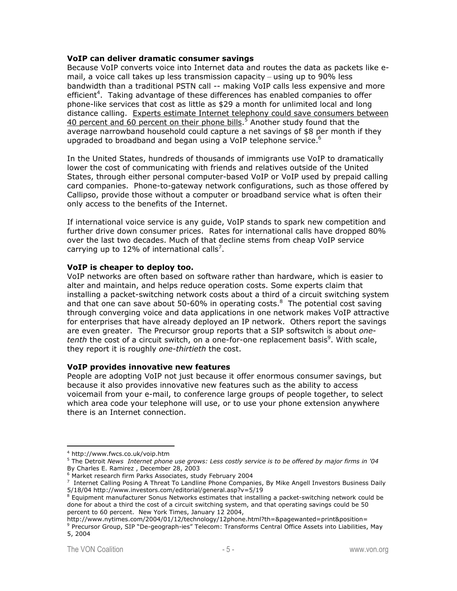#### **VoIP can deliver dramatic consumer savings**

Because VoIP converts voice into Internet data and routes the data as packets like email, a voice call takes up less transmission capacity – using up to 90% less bandwidth than a traditional PSTN call -- making VoIP calls less expensive and more efficient<sup>4</sup>. Taking advantage of these differences has enabled companies to offer phone-like services that cost as little as \$29 a month for unlimited local and long distance calling. Experts estimate Internet telephony could save consumers between 40 percent and 60 percent on their phone bills.<sup>5</sup> Another study found that the average narrowband household could capture a net savings of \$8 per month if they upgraded to broadband and began using a VoIP telephone service.<sup>6</sup>

In the United States, hundreds of thousands of immigrants use VoIP to dramatically lower the cost of communicating with friends and relatives outside of the United States, through either personal computer-based VoIP or VoIP used by prepaid calling card companies. Phone-to-gateway network configurations, such as those offered by Callipso, provide those without a computer or broadband service what is often their only access to the benefits of the Internet.

If international voice service is any guide, VoIP stands to spark new competition and further drive down consumer prices. Rates for international calls have dropped 80% over the last two decades. Much of that decline stems from cheap VoIP service carrying up to 12% of international calls<sup>7</sup>.

#### **VoIP is cheaper to deploy too.**

VoIP networks are often based on software rather than hardware, which is easier to alter and maintain, and helps reduce operation costs. Some experts claim that installing a packet-switching network costs about a third of a circuit switching system and that one can save about 50-60% in operating costs. $8$  The potential cost saving through converging voice and data applications in one network makes VoIP attractive for enterprises that have already deployed an IP network. Others report the savings are even greater. The Precursor group reports that a SIP softswitch is about *one*tenth the cost of a circuit switch, on a one-for-one replacement basis<sup>9</sup>. With scale, they report it is roughly *one-thirtieth* the cost.

#### **VoIP provides innovative new features**

People are adopting VoIP not just because it offer enormous consumer savings, but because it also provides innovative new features such as the ability to access voicemail from your e-mail, to conference large groups of people together, to select which area code your telephone will use, or to use your phone extension anywhere there is an Internet connection.

<sup>4</sup> http://www.fwcs.co.uk/voip.htm

<sup>5</sup> The Detroit *News Internet phone use grows: Less costly service is to be offered by major firms in '04*  By Charles E. Ramirez , December 28, 2003

<sup>6</sup> Market research firm Parks Associates, study February 2004

<sup>&</sup>lt;sup>7</sup> Internet Calling Posing A Threat To Landline Phone Companies, By Mike Angell Investors Business Daily 5/18/04 http://www.investors.com/editorial/general.asp?v=5/19 8

 $8$  Equipment manufacturer Sonus Networks estimates that installing a packet-switching network could be done for about a third the cost of a circuit switching system, and that operating savings could be 50 percent to 60 percent. New York Times, January 12 2004,

http://www.nytimes.com/2004/01/12/technology/12phone.html?th=&pagewanted=print&position= 9 Precursor Group, SIP "De-geograph-ies" Telecom: Transforms Central Office Assets into Liabilities, May 5, 2004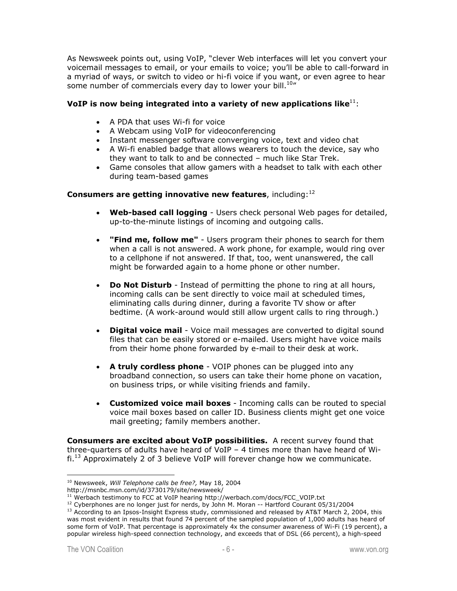As Newsweek points out, using VoIP, "clever Web interfaces will let you convert your voicemail messages to email, or your emails to voice; you'll be able to call-forward in a myriad of ways, or switch to video or hi-fi voice if you want, or even agree to hear some number of commercials every day to lower your bill.<sup>10</sup>"

# **VoIP** is now being integrated into a variety of new applications like<sup>11</sup>:

- A PDA that uses Wi-fi for voice
- A Webcam using VoIP for videoconferencing
- Instant messenger software converging voice, text and video chat
- A Wi-fi enabled badge that allows wearers to touch the device, say who they want to talk to and be connected – much like Star Trek.
- Game consoles that allow gamers with a headset to talk with each other during team-based games

#### **Consumers are getting innovative new features**, including:<sup>12</sup>

- **Web-based call logging** Users check personal Web pages for detailed, up-to-the-minute listings of incoming and outgoing calls.
- **"Find me, follow me"** Users program their phones to search for them when a call is not answered. A work phone, for example, would ring over to a cellphone if not answered. If that, too, went unanswered, the call might be forwarded again to a home phone or other number.
- **Do Not Disturb** Instead of permitting the phone to ring at all hours, incoming calls can be sent directly to voice mail at scheduled times, eliminating calls during dinner, during a favorite TV show or after bedtime. (A work-around would still allow urgent calls to ring through.)
- **Digital voice mail** Voice mail messages are converted to digital sound files that can be easily stored or e-mailed. Users might have voice mails from their home phone forwarded by e-mail to their desk at work.
- **A truly cordless phone** VOIP phones can be plugged into any broadband connection, so users can take their home phone on vacation, on business trips, or while visiting friends and family.
- **Customized voice mail boxes** Incoming calls can be routed to special voice mail boxes based on caller ID. Business clients might get one voice mail greeting; family members another.

**Consumers are excited about VoIP possibilities.** A recent survey found that three-quarters of adults have heard of VoIP – 4 times more than have heard of Wi $fi.^{13}$  Approximately 2 of 3 believe VoIP will forever change how we communicate.

<sup>10</sup> Newsweek, *Will Telephone calls be free?,* May 18, 2004

http://msnbc.msn.com/id/3730179/site/newsweek/<br><sup>11</sup> Werbach testimony to FCC at VoIP hearing http://werbach.com/docs/FCC VOIP.txt

<sup>&</sup>lt;sup>12</sup> Cyberphones are no longer just for nerds, by John M. Moran -- Hartford Courant 05/31/2004<br><sup>13</sup> According to an Ipsos-Insight Express study, commissioned and released by AT&T March 2, 2004, this was most evident in results that found 74 percent of the sampled population of 1,000 adults has heard of some form of VoIP. That percentage is approximately 4x the consumer awareness of Wi-Fi (19 percent), a popular wireless high-speed connection technology, and exceeds that of DSL (66 percent), a high-speed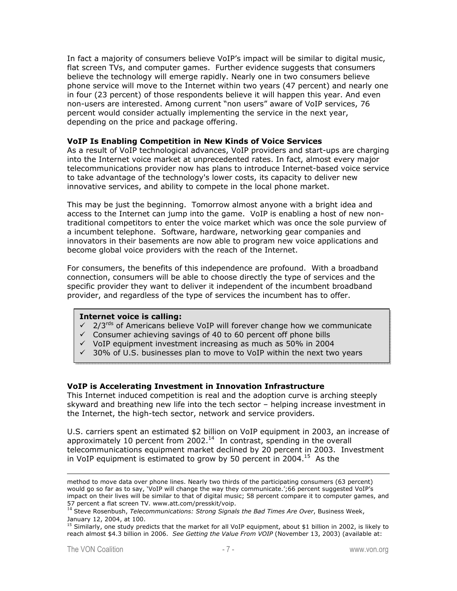In fact a majority of consumers believe VoIP's impact will be similar to digital music, flat screen TVs, and computer games. Further evidence suggests that consumers believe the technology will emerge rapidly. Nearly one in two consumers believe phone service will move to the Internet within two years (47 percent) and nearly one in four (23 percent) of those respondents believe it will happen this year. And even non-users are interested. Among current "non users" aware of VoIP services, 76 percent would consider actually implementing the service in the next year, depending on the price and package offering.

#### **VoIP Is Enabling Competition in New Kinds of Voice Services**

As a result of VoIP technological advances, VoIP providers and start-ups are charging into the Internet voice market at unprecedented rates. In fact, almost every major telecommunications provider now has plans to introduce Internet-based voice service to take advantage of the technology's lower costs, its capacity to deliver new innovative services, and ability to compete in the local phone market.

This may be just the beginning. Tomorrow almost anyone with a bright idea and access to the Internet can jump into the game. VoIP is enabling a host of new nontraditional competitors to enter the voice market which was once the sole purview of a incumbent telephone. Software, hardware, networking gear companies and innovators in their basements are now able to program new voice applications and become global voice providers with the reach of the Internet.

For consumers, the benefits of this independence are profound. With a broadband connection, consumers will be able to choose directly the type of services and the specific provider they want to deliver it independent of the incumbent broadband provider, and regardless of the type of services the incumbent has to offer.

#### **Internet voice is calling:**

- $\sqrt{2/3}$  2/3<sup>rds</sup> of Americans believe VoIP will forever change how we communicate
- $\checkmark$  Consumer achieving savings of 40 to 60 percent off phone bills
- $\checkmark$  VoIP equipment investment increasing as much as 50% in 2004
- $\checkmark$  30% of U.S. businesses plan to move to VoIP within the next two years

#### **VoIP is Accelerating Investment in Innovation Infrastructure**

This Internet induced competition is real and the adoption curve is arching steeply skyward and breathing new life into the tech sector – helping increase investment in the Internet, the high-tech sector, network and service providers.

U.S. carriers spent an estimated \$2 billion on VoIP equipment in 2003, an increase of approximately 10 percent from 2002.<sup>14</sup> In contrast, spending in the overall telecommunications equipment market declined by 20 percent in 2003. Investment in VoIP equipment is estimated to grow by 50 percent in 2004.<sup>15</sup> As the

method to move data over phone lines. Nearly two thirds of the participating consumers (63 percent) would go so far as to say, 'VoIP will change the way they communicate.';66 percent suggested VoIP's impact on their lives will be similar to that of digital music; 58 percent compare it to computer games, and 57 percent a flat screen TV. www.att.com/presskit/voip.<br><sup>14</sup> Steve Rosenbush, *Telecommunications: Strong Signals the Bad Times Are Over*, Business Week,

January 12, 2004, at 100.

<sup>&</sup>lt;sup>15</sup> Similarly, one study predicts that the market for all VoIP equipment, about \$1 billion in 2002, is likely to reach almost \$4.3 billion in 2006. *See Getting the Value From VOIP* (November 13, 2003) (available at: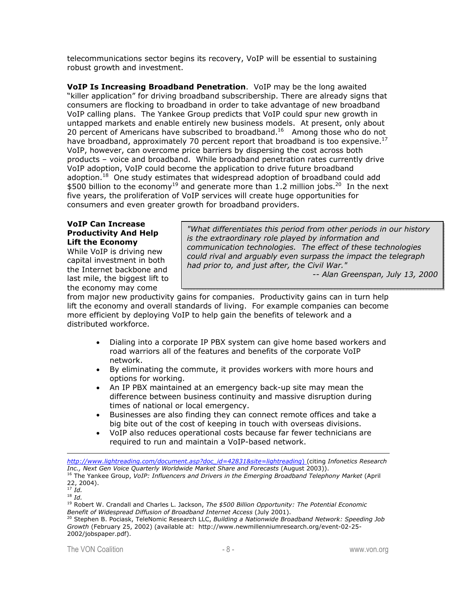telecommunications sector begins its recovery, VoIP will be essential to sustaining robust growth and investment.

**VoIP Is Increasing Broadband Penetration**. VoIP may be the long awaited "killer application" for driving broadband subscribership. There are already signs that consumers are flocking to broadband in order to take advantage of new broadband VoIP calling plans. The Yankee Group predicts that VoIP could spur new growth in untapped markets and enable entirely new business models. At present, only about 20 percent of Americans have subscribed to broadband.<sup>16</sup> Among those who do not have broadband, approximately 70 percent report that broadband is too expensive.<sup>17</sup> VoIP, however, can overcome price barriers by dispersing the cost across both products – voice and broadband. While broadband penetration rates currently drive VoIP adoption, VoIP could become the application to drive future broadband adoption.<sup>18</sup> One study estimates that widespread adoption of broadband could add \$500 billion to the economy<sup>19</sup> and generate more than 1.2 million jobs.<sup>20</sup> In the next five years, the proliferation of VoIP services will create huge opportunities for consumers and even greater growth for broadband providers.

### **VoIP Can Increase Productivity And Help Lift the Economy**

While VoIP is driving new capital investment in both the Internet backbone and last mile, the biggest lift to the economy may come

*"What differentiates this period from other periods in our history is the extraordinary role played by information and communication technologies. The effect of these technologies could rival and arguably even surpass the impact the telegraph had prior to, and just after, the Civil War."* 

*-- Alan Greenspan, July 13, 2000* 

from major new productivity gains for companies. Productivity gains can in turn help lift the economy and overall standards of living. For example companies can become more efficient by deploying VoIP to help gain the benefits of telework and a distributed workforce.

- Dialing into a corporate IP PBX system can give home based workers and road warriors all of the features and benefits of the corporate VoIP network.
- By eliminating the commute, it provides workers with more hours and options for working.
- An IP PBX maintained at an emergency back-up site may mean the difference between business continuity and massive disruption during times of national or local emergency.
- Businesses are also finding they can connect remote offices and take a big bite out of the cost of keeping in touch with overseas divisions.
- VoIP also reduces operational costs because far fewer technicians are required to run and maintain a VoIP-based network.

 $\overline{a}$ *http://www.lightreading.com/document.asp?doc\_id=42831&site=lightreading*) (citing *Infonetics Research* 

- <sup>17</sup> *Id.*
- <sup>18</sup> *Id.*

<sup>&</sup>lt;sup>16</sup> The Yankee Group, VoIP: Influencers and Drivers in the Emerging Broadband Telephony Market (April 22, 2004).

<sup>19</sup> Robert W. Crandall and Charles L. Jackson, *The \$500 Billion Opportunity: The Potential Economic* 

*Benefit of Widespread Diffusion of Broadband Internet Access (July 2001).* 2001). 20 Stephen B. Pociask, TeleNomic Research LLC, *Building a Nationwide Broadband Network: Speeding Job Growth* (February 25, 2002) (available at: http://www.newmillenniumresearch.org/event-02-25- 2002/jobspaper.pdf).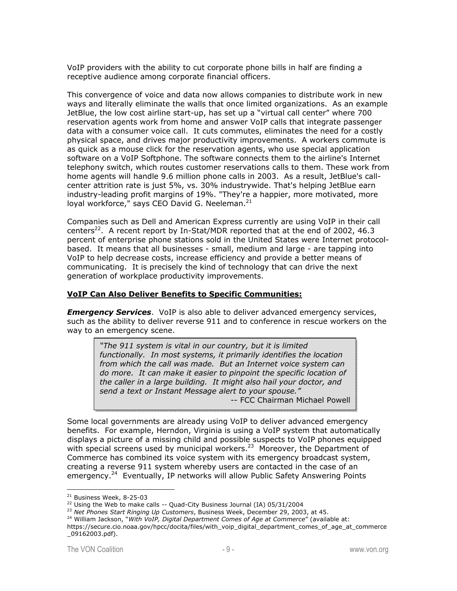VoIP providers with the ability to cut corporate phone bills in half are finding a receptive audience among corporate financial officers.

This convergence of voice and data now allows companies to distribute work in new ways and literally eliminate the walls that once limited organizations. As an example JetBlue, the low cost airline start-up, has set up a "virtual call center" where 700 reservation agents work from home and answer VoIP calls that integrate passenger data with a consumer voice call. It cuts commutes, eliminates the need for a costly physical space, and drives major productivity improvements. A workers commute is as quick as a mouse click for the reservation agents, who use special application software on a VoIP Softphone. The software connects them to the airline's Internet telephony switch, which routes customer reservations calls to them. These work from home agents will handle 9.6 million phone calls in 2003. As a result, JetBlue's callcenter attrition rate is just 5%, vs. 30% industrywide. That's helping JetBlue earn industry-leading profit margins of 19%. "They're a happier, more motivated, more loyal workforce," says CEO David G. Neeleman. $^{21}$ 

Companies such as Dell and American Express currently are using VoIP in their call centers<sup>22</sup>. A recent report by In-Stat/MDR reported that at the end of 2002, 46.3 percent of enterprise phone stations sold in the United States were Internet protocolbased. It means that all businesses - small, medium and large - are tapping into VoIP to help decrease costs, increase efficiency and provide a better means of communicating. It is precisely the kind of technology that can drive the next generation of workplace productivity improvements.

#### **VoIP Can Also Deliver Benefits to Specific Communities:**

*Emergency Services*.VoIP is also able to deliver advanced emergency services, such as the ability to deliver reverse 911 and to conference in rescue workers on the way to an emergency scene.

*"The 911 system is vital in our country, but it is limited functionally. In most systems, it primarily identifies the location from which the call was made. But an Internet voice system can do more. It can make it easier to pinpoint the specific location of the caller in a large building. It might also hail your doctor, and send a text or Instant Message alert to your spouse."*  -- FCC Chairman Michael Powell

Some local governments are already using VoIP to deliver advanced emergency benefits. For example, Herndon, Virginia is using a VoIP system that automatically displays a picture of a missing child and possible suspects to VoIP phones equipped with special screens used by municipal workers.<sup>23</sup> Moreover, the Department of Commerce has combined its voice system with its emergency broadcast system, creating a reverse 911 system whereby users are contacted in the case of an emergency.<sup>24</sup> Eventually, IP networks will allow Public Safety Answering Points

<sup>&</sup>lt;sup>21</sup> Business Week, 8-25-03

<sup>&</sup>lt;sup>22</sup> Using the Web to make calls -- Quad-City Business Journal (IA) 05/31/2004<br><sup>23</sup> Net Phones Start Ringing Up Customers, Business Week, December 29, 2003, at 45.<br><sup>24</sup> William Jackson, "With VoIP, Digital Department Come

https://secure.cio.noaa.gov/hpcc/docita/files/with\_voip\_digital\_department\_comes\_of\_age\_at\_commerce \_09162003.pdf).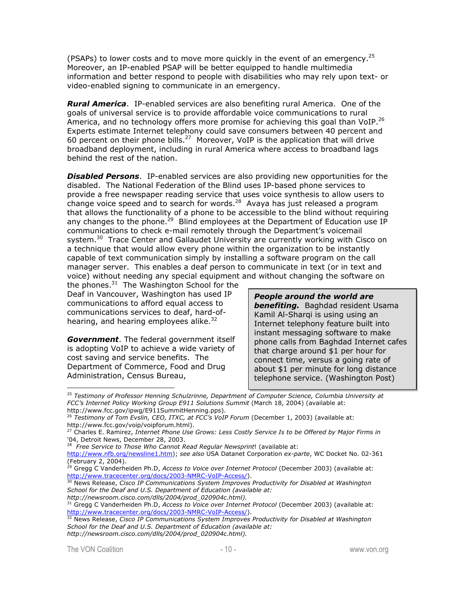(PSAPs) to lower costs and to move more quickly in the event of an emergency.<sup>25</sup> Moreover, an IP-enabled PSAP will be better equipped to handle multimedia information and better respond to people with disabilities who may rely upon text- or video-enabled signing to communicate in an emergency.

*Rural America*. IP-enabled services are also benefiting rural America. One of the goals of universal service is to provide affordable voice communications to rural America, and no technology offers more promise for achieving this goal than VoIP.<sup>26</sup> Experts estimate Internet telephony could save consumers between 40 percent and 60 percent on their phone bills.<sup>27</sup> Moreover, VoIP is the application that will drive broadband deployment, including in rural America where access to broadband lags behind the rest of the nation.

*Disabled Persons*. IP-enabled services are also providing new opportunities for the disabled. The National Federation of the Blind uses IP-based phone services to provide a free newspaper reading service that uses voice synthesis to allow users to change voice speed and to search for words. $^{28}$  Avaya has just released a program that allows the functionality of a phone to be accessible to the blind without requiring any changes to the phone.<sup>29</sup> Blind employees at the Department of Education use IP communications to check e-mail remotely through the Department's voicemail system.<sup>30</sup> Trace Center and Gallaudet University are currently working with Cisco on a technique that would allow every phone within the organization to be instantly capable of text communication simply by installing a software program on the call manager server. This enables a deaf person to communicate in text (or in text and voice) without needing any special equipment and without changing the software on

the phones. $31$  The Washington School for the Deaf in Vancouver, Washington has used IP communications to afford equal access to communications services to deaf, hard-ofhearing, and hearing employees alike. $32<sup>32</sup>$ 

*Government*. The federal government itself is adopting VoIP to achieve a wide variety of cost saving and service benefits. The Department of Commerce, Food and Drug Administration, Census Bureau,

*People around the world are benefiting.* Baghdad resident Usama Kamil Al-Sharqi is using using an Internet telephony feature built into instant messaging software to make phone calls from Baghdad Internet cafes that charge around \$1 per hour for connect time, versus a going rate of about \$1 per minute for long distance telephone service. (Washington Post)

*School for the Deaf and U.S. Department of Education (available at: http://newsroom.cisco.com/dlls/2004/prod\_020904c.html).*

<sup>25</sup> *Testimony of Professor Henning Schulzrinne, Department of Computer Science, Columbia University at FCC's Internet Policy Working Group E911 Solutions Summit* (March 18, 2004) (available at: http://www.fcc.gov/ipwg/E911SummitHenning.pps).

<sup>26</sup> *Testimony of Tom Evslin, CEO, ITXC, at FCC's VoIP Forum* (December 1, 2003) (available at: http://www.fcc.gov/voip/voipforum.html).

<sup>27</sup> Charles E. Ramirez, *Internet Phone Use Grows: Less Costly Service Is to be Offered by Major Firms in*  '04, Detroit News, December 28, 2003.

<sup>28</sup> *Free Service to Those Who Cannot Read Regular Newsprint*! (available at:

http://www.nfb.org/newsline1.htm); *see also* USA Datanet Corporation *ex-parte*, WC Docket No. 02-361 (February 2, 2004).

<sup>29</sup> Gregg C Vanderheiden Ph.D, *Access to Voice over Internet Protocol* (December 2003) (available at: http://www.tracecenter.org/docs/2003-NMRC-VoIP-Access/).<br><sup>30</sup> News Release, *Cisco IP Communications System Improves Productivity for Disabled at Washington* 

<sup>31</sup> Gregg C Vanderheiden Ph.D, *Access to Voice over Internet Protocol* (December 2003) (available at: http://www.tracecenter.org/docs/2003-NMRC-VoIP-Access/).<br><sup>32</sup> News Release, *Cisco IP Communications System Improves Productivity for Disabled at Washington* 

*School for the Deaf and U.S. Department of Education (available at: http://newsroom.cisco.com/dlls/2004/prod\_020904c.html).*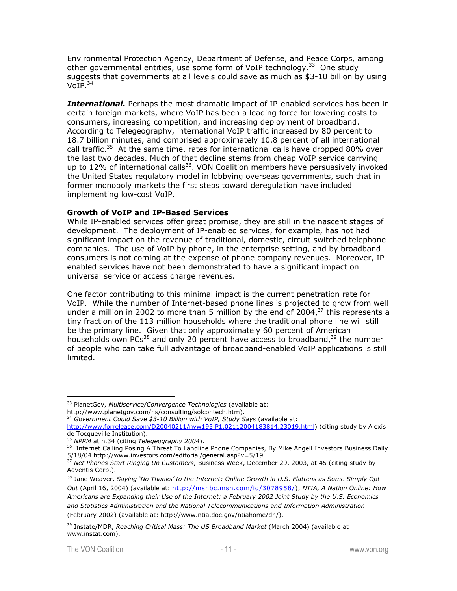Environmental Protection Agency, Department of Defense, and Peace Corps, among other governmental entities, use some form of VoIP technology.<sup>33</sup> One study suggests that governments at all levels could save as much as \$3-10 billion by using  $VOIP.<sup>34</sup>$ 

*International.* Perhaps the most dramatic impact of IP-enabled services has been in certain foreign markets, where VoIP has been a leading force for lowering costs to consumers, increasing competition, and increasing deployment of broadband. According to Telegeography, international VoIP traffic increased by 80 percent to 18.7 billion minutes, and comprised approximately 10.8 percent of all international call traffic.<sup>35</sup> At the same time, rates for international calls have dropped 80% over the last two decades. Much of that decline stems from cheap VoIP service carrying up to  $12\%$  of international calls<sup>36</sup>. VON Coalition members have persuasively invoked the United States regulatory model in lobbying overseas governments, such that in former monopoly markets the first steps toward deregulation have included implementing low-cost VoIP.

#### **Growth of VoIP and IP-Based Services**

While IP-enabled services offer great promise, they are still in the nascent stages of development. The deployment of IP-enabled services, for example, has not had significant impact on the revenue of traditional, domestic, circuit-switched telephone companies. The use of VoIP by phone, in the enterprise setting, and by broadband consumers is not coming at the expense of phone company revenues. Moreover, IPenabled services have not been demonstrated to have a significant impact on universal service or access charge revenues.

One factor contributing to this minimal impact is the current penetration rate for VoIP. While the number of Internet-based phone lines is projected to grow from well under a million in 2002 to more than 5 million by the end of 2004, $37$  this represents a tiny fraction of the 113 million households where the traditional phone line will still be the primary line. Given that only approximately 60 percent of American households own PCs<sup>38</sup> and only 20 percent have access to broadband,<sup>39</sup> the number of people who can take full advantage of broadband-enabled VoIP applications is still limited.

<sup>33</sup> PlanetGov, *Multiservice/Convergence Technologies* (available at: http://www.planetgov.com/ns/consulting/solcontech.htm).

<sup>34</sup> *Government Could Save \$3-10 Billion with VoIP, Study Says* (available at:

http://www.forrelease.com/D20040211/nyw195.P1.02112004183814.23019.html) (citing study by Alexis de Tocqueville Institution).<br><sup>35</sup> NPRM at n.34 (citing Telegeography 2004).

<sup>&</sup>lt;sup>36</sup> Internet Calling Posing A Threat To Landline Phone Companies, By Mike Angell Investors Business Daily<br>5/18/04 http://www.investors.com/editorial/general.asp?v=5/19<br><sup>37</sup> Net Phones Start Pinging Up Customers, Business

Net Phones Start Ringing Up Customers, Business Week, December 29, 2003, at 45 (citing study by Adventis Corp.).

<sup>38</sup> Jane Weaver, *Saying 'No Thanks' to the Internet: Online Growth in U.S. Flattens as Some Simply Opt Out* (April 16, 2004) (available at: http://msnbc.msn.com/id/3078958/); *NTIA, A Nation Online: How Americans are Expanding their Use of the Internet: a February 2002 Joint Study by the U.S. Economics and Statistics Administration and the National Telecommunications and Information Administration* (February 2002) (available at: http://www.ntia.doc.gov/ntiahome/dn/).

<sup>39</sup> Instate/MDR, *Reaching Critical Mass: The US Broadband Market* (March 2004) (available at www.instat.com).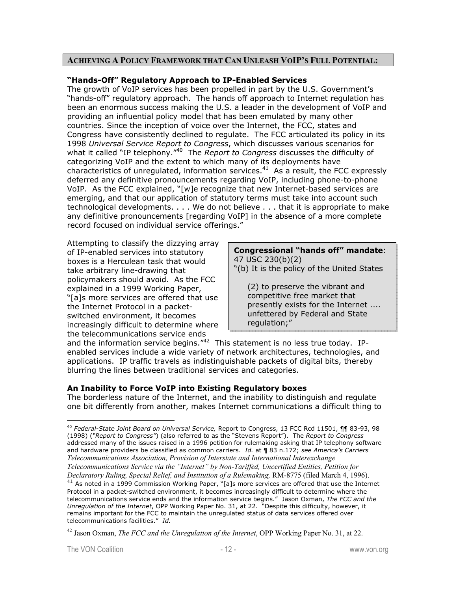#### **ACHIEVING A POLICY FRAMEWORK THAT CAN UNLEASH VOIP'S FULL POTENTIAL:**

#### **"Hands-Off" Regulatory Approach to IP-Enabled Services**

The growth of VoIP services has been propelled in part by the U.S. Government's "hands-off" regulatory approach. The hands off approach to Internet regulation has been an enormous success making the U.S. a leader in the development of VoIP and providing an influential policy model that has been emulated by many other countries. Since the inception of voice over the Internet, the FCC, states and Congress have consistently declined to regulate. The FCC articulated its policy in its 1998 *Universal Service Report to Congress*, which discusses various scenarios for what it called "IP telephony."40 The *Report to Congress* discusses the difficulty of categorizing VoIP and the extent to which many of its deployments have characteristics of unregulated, information services.<sup>41</sup> As a result, the FCC expressly deferred any definitive pronouncements regarding VoIP, including phone-to-phone VoIP. As the FCC explained, "[w]e recognize that new Internet-based services are emerging, and that our application of statutory terms must take into account such technological developments. . . . We do not believe . . . that it is appropriate to make any definitive pronouncements [regarding VoIP] in the absence of a more complete record focused on individual service offerings."

Attempting to classify the dizzying array of IP-enabled services into statutory boxes is a Herculean task that would take arbitrary line-drawing that policymakers should avoid. As the FCC explained in a 1999 Working Paper, "[a]s more services are offered that use the Internet Protocol in a packetswitched environment, it becomes increasingly difficult to determine where the telecommunications service ends

# **Congressional "hands off" mandate**: 47 USC 230(b)(2)

"(b) It is the policy of the United States

(2) to preserve the vibrant and competitive free market that presently exists for the Internet .... unfettered by Federal and State regulation;"

and the information service begins."<sup>42</sup> This statement is no less true today. IPenabled services include a wide variety of network architectures, technologies, and applications. IP traffic travels as indistinguishable packets of digital bits, thereby blurring the lines between traditional services and categories.

# **An Inability to Force VoIP into Existing Regulatory boxes**

The borderless nature of the Internet, and the inability to distinguish and regulate one bit differently from another, makes Internet communications a difficult thing to

<sup>40</sup> *Federal-State Joint Board on Universal Service,* Report to Congress, 13 FCC Rcd 11501, ¶¶ 83-93, 98 (1998) (*"Report to Congress"*) (also referred to as the "Stevens Report"). The *Report to Congress* addressed many of the issues raised in a 1996 petition for rulemaking asking that IP telephony software and hardware providers be classified as common carriers. *Id.* at ¶ 83 n.172; *see America's Carriers Telecommunications Association, Provision of Interstate and International Interexchange Telecommunications Service via the "Internet" by Non-Tariffed, Uncertified Entities, Petition for Declaratory Ruling, Special Relief, and Institution of a Rulemaking,* RM-8775 (filed March 4, 1996).

 $41$  As noted in a 1999 Commission Working Paper, "[a]s more services are offered that use the Internet Protocol in a packet-switched environment, it becomes increasingly difficult to determine where the telecommunications service ends and the information service begins." Jason Oxman, *The FCC and the Unregulation of the Internet*, OPP Working Paper No. 31, at 22. "Despite this difficulty, however, it remains important for the FCC to maintain the unregulated status of data services offered over telecommunications facilities." *Id.*

<sup>42</sup> Jason Oxman, *The FCC and the Unregulation of the Internet*, OPP Working Paper No. 31, at 22.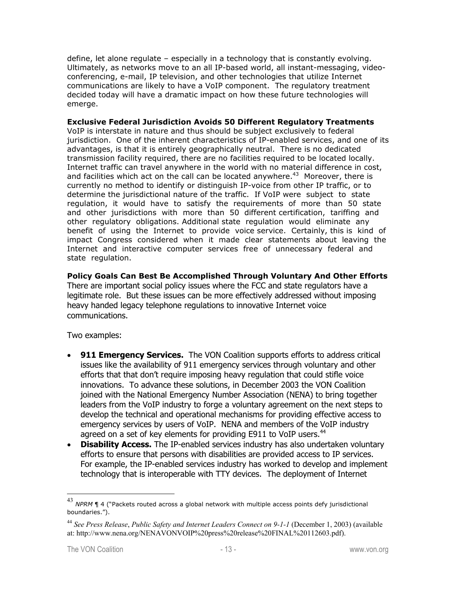define, let alone regulate – especially in a technology that is constantly evolving. Ultimately, as networks move to an all IP-based world, all instant-messaging, videoconferencing, e-mail, IP television, and other technologies that utilize Internet communications are likely to have a VoIP component. The regulatory treatment decided today will have a dramatic impact on how these future technologies will emerge.

**Exclusive Federal Jurisdiction Avoids 50 Different Regulatory Treatments**  VoIP is interstate in nature and thus should be subject exclusively to federal jurisdiction. One of the inherent characteristics of IP-enabled services, and one of its advantages, is that it is entirely geographically neutral. There is no dedicated transmission facility required, there are no facilities required to be located locally. Internet traffic can travel anywhere in the world with no material difference in cost, and facilities which act on the call can be located anywhere. $43$  Moreover, there is currently no method to identify or distinguish IP-voice from other IP traffic, or to determine the jurisdictional nature of the traffic. If VoIP were subject to state regulation, it would have to satisfy the requirements of more than 50 state and other jurisdictions with more than 50 different certification, tariffing and other regulatory obligations. Additional state regulation would eliminate any benefit of using the Internet to provide voice service. Certainly, this is kind of impact Congress considered when it made clear statements about leaving the Internet and interactive computer services free of unnecessary federal and state regulation.

**Policy Goals Can Best Be Accomplished Through Voluntary And Other Efforts**  There are important social policy issues where the FCC and state regulators have a legitimate role. But these issues can be more effectively addressed without imposing heavy handed legacy telephone regulations to innovative Internet voice communications.

Two examples:

- **911 Emergency Services.** The VON Coalition supports efforts to address critical issues like the availability of 911 emergency services through voluntary and other efforts that that don't require imposing heavy regulation that could stifle voice innovations. To advance these solutions, in December 2003 the VON Coalition joined with the National Emergency Number Association (NENA) to bring together leaders from the VoIP industry to forge a voluntary agreement on the next steps to develop the technical and operational mechanisms for providing effective access to emergency services by users of VoIP. NENA and members of the VoIP industry agreed on a set of key elements for providing E911 to VoIP users.<sup>44</sup>
- **Disability Access.** The IP-enabled services industry has also undertaken voluntary efforts to ensure that persons with disabilities are provided access to IP services. For example, the IP-enabled services industry has worked to develop and implement technology that is interoperable with TTY devices. The deployment of Internet

<sup>43</sup> *NPRM* ¶ 4 ("Packets routed across a global network with multiple access points defy jurisdictional boundaries.").

<sup>44</sup> *See Press Release*, *Public Safety and Internet Leaders Connect on 9-1-1* (December 1, 2003) (available at: http://www.nena.org/NENAVONVOIP%20press%20release%20FINAL%20112603.pdf).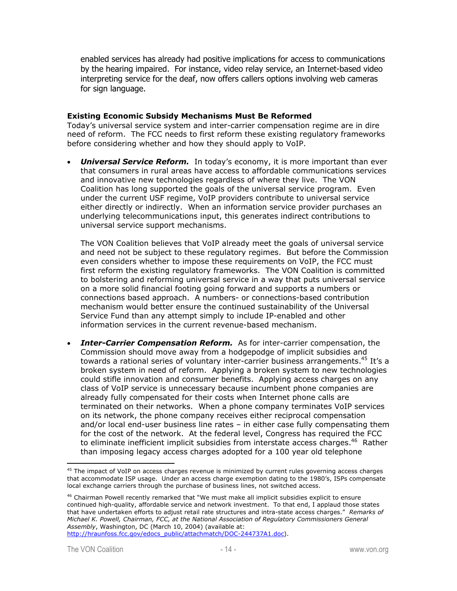enabled services has already had positive implications for access to communications by the hearing impaired. For instance, video relay service, an Internet-based video interpreting service for the deaf, now offers callers options involving web cameras for sign language.

#### **Existing Economic Subsidy Mechanisms Must Be Reformed**

Today's universal service system and inter-carrier compensation regime are in dire need of reform. The FCC needs to first reform these existing regulatory frameworks before considering whether and how they should apply to VoIP.

• *Universal Service Reform.* In today's economy, it is more important than ever that consumers in rural areas have access to affordable communications services and innovative new technologies regardless of where they live. The VON Coalition has long supported the goals of the universal service program. Even under the current USF regime, VoIP providers contribute to universal service either directly or indirectly. When an information service provider purchases an underlying telecommunications input, this generates indirect contributions to universal service support mechanisms.

The VON Coalition believes that VoIP already meet the goals of universal service and need not be subject to these regulatory regimes. But before the Commission even considers whether to impose these requirements on VoIP, the FCC must first reform the existing regulatory frameworks. The VON Coalition is committed to bolstering and reforming universal service in a way that puts universal service on a more solid financial footing going forward and supports a numbers or connections based approach. A numbers- or connections-based contribution mechanism would better ensure the continued sustainability of the Universal Service Fund than any attempt simply to include IP-enabled and other information services in the current revenue-based mechanism.

• *Inter-Carrier Compensation Reform.* As for inter-carrier compensation, the Commission should move away from a hodgepodge of implicit subsidies and towards a rational series of voluntary inter-carrier business arrangements.<sup>45</sup> It's a broken system in need of reform. Applying a broken system to new technologies could stifle innovation and consumer benefits. Applying access charges on any class of VoIP service is unnecessary because incumbent phone companies are already fully compensated for their costs when Internet phone calls are terminated on their networks. When a phone company terminates VoIP services on its network, the phone company receives either reciprocal compensation and/or local end-user business line rates – in either case fully compensating them for the cost of the network. At the federal level, Congress has required the FCC to eliminate inefficient implicit subsidies from interstate access charges.<sup>46</sup> Rather than imposing legacy access charges adopted for a 100 year old telephone

 $\overline{a}$ <sup>45</sup> The impact of VoIP on access charges revenue is minimized by current rules governing access charges that accommodate ISP usage. Under an access charge exemption dating to the 1980's, ISPs compensate local exchange carriers through the purchase of business lines, not switched access.

<sup>&</sup>lt;sup>46</sup> Chairman Powell recently remarked that "We must make all implicit subsidies explicit to ensure continued high-quality, affordable service and network investment. To that end, I applaud those states that have undertaken efforts to adjust retail rate structures and intra-state access charges." *Remarks of Michael K. Powell, Chairman, FCC, at the National Association of Regulatory Commissioners General Assembly*, Washington, DC (March 10, 2004) (available at: http://hraunfoss.fcc.gov/edocs\_public/attachmatch/DOC-244737A1.doc).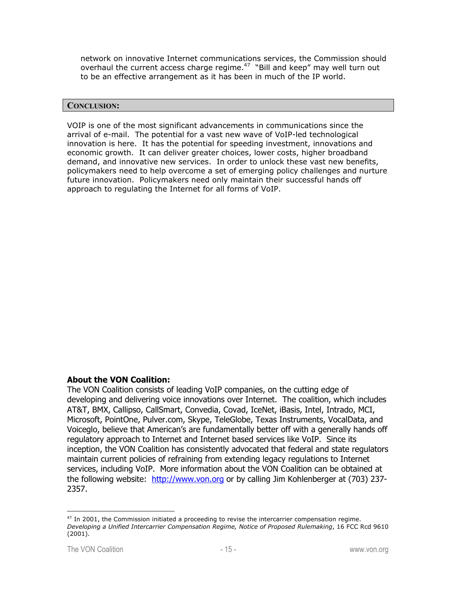network on innovative Internet communications services, the Commission should overhaul the current access charge regime.<sup>47</sup> "Bill and keep" may well turn out to be an effective arrangement as it has been in much of the IP world.

#### **CONCLUSION:**

VOIP is one of the most significant advancements in communications since the arrival of e-mail. The potential for a vast new wave of VoIP-led technological innovation is here. It has the potential for speeding investment, innovations and economic growth. It can deliver greater choices, lower costs, higher broadband demand, and innovative new services. In order to unlock these vast new benefits, policymakers need to help overcome a set of emerging policy challenges and nurture future innovation. Policymakers need only maintain their successful hands off approach to regulating the Internet for all forms of VoIP.

# **About the VON Coalition:**

The VON Coalition consists of leading VoIP companies, on the cutting edge of developing and delivering voice innovations over Internet. The coalition, which includes AT&T, BMX, Callipso, CallSmart, Convedia, Covad, IceNet, iBasis, Intel, Intrado, MCI, Microsoft, PointOne, Pulver.com, Skype, TeleGlobe, Texas Instruments, VocalData, and Voiceglo, believe that American's are fundamentally better off with a generally hands off regulatory approach to Internet and Internet based services like VoIP. Since its inception, the VON Coalition has consistently advocated that federal and state regulators maintain current policies of refraining from extending legacy regulations to Internet services, including VoIP. More information about the VON Coalition can be obtained at the following website: http://www.von.org or by calling Jim Kohlenberger at (703) 237-2357.

 $47$  In 2001, the Commission initiated a proceeding to revise the intercarrier compensation regime. *Developing a Unified Intercarrier Compensation Regime, Notice of Proposed Rulemaking*, 16 FCC Rcd 9610 (2001).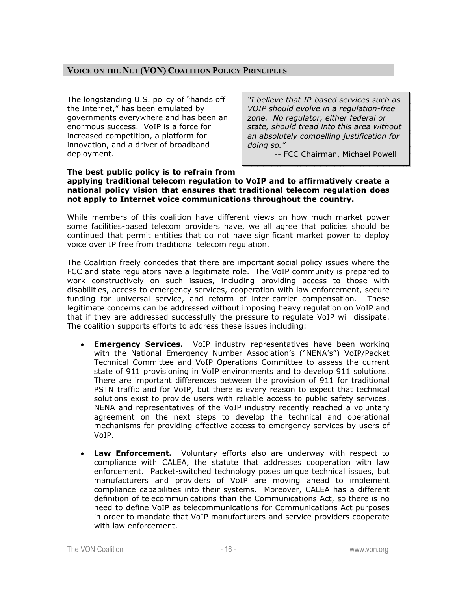# **VOICE ON THE NET (VON) COALITION POLICY PRINCIPLES**

The longstanding U.S. policy of "hands off the Internet," has been emulated by governments everywhere and has been an enormous success. VoIP is a force for increased competition, a platform for innovation, and a driver of broadband deployment.

*"I believe that IP-based services such as VOIP should evolve in a regulation-free zone. No regulator, either federal or state, should tread into this area without an absolutely compelling justification for doing so."* 

-- FCC Chairman, Michael Powell

#### **The best public policy is to refrain from applying traditional telecom regulation to VoIP and to affirmatively create a national policy vision that ensures that traditional telecom regulation does not apply to Internet voice communications throughout the country.**

While members of this coalition have different views on how much market power some facilities-based telecom providers have, we all agree that policies should be continued that permit entities that do not have significant market power to deploy voice over IP free from traditional telecom regulation.

The Coalition freely concedes that there are important social policy issues where the FCC and state regulators have a legitimate role. The VoIP community is prepared to work constructively on such issues, including providing access to those with disabilities, access to emergency services, cooperation with law enforcement, secure funding for universal service, and reform of inter-carrier compensation. These legitimate concerns can be addressed without imposing heavy regulation on VoIP and that if they are addressed successfully the pressure to regulate VoIP will dissipate. The coalition supports efforts to address these issues including:

- **Emergency Services.** VoIP industry representatives have been working with the National Emergency Number Association's ("NENA's") VoIP/Packet Technical Committee and VoIP Operations Committee to assess the current state of 911 provisioning in VoIP environments and to develop 911 solutions. There are important differences between the provision of 911 for traditional PSTN traffic and for VoIP, but there is every reason to expect that technical solutions exist to provide users with reliable access to public safety services. NENA and representatives of the VoIP industry recently reached a voluntary agreement on the next steps to develop the technical and operational mechanisms for providing effective access to emergency services by users of VoIP.
- **Law Enforcement.** Voluntary efforts also are underway with respect to compliance with CALEA, the statute that addresses cooperation with law enforcement. Packet-switched technology poses unique technical issues, but manufacturers and providers of VoIP are moving ahead to implement compliance capabilities into their systems. Moreover, CALEA has a different definition of telecommunications than the Communications Act, so there is no need to define VoIP as telecommunications for Communications Act purposes in order to mandate that VoIP manufacturers and service providers cooperate with law enforcement.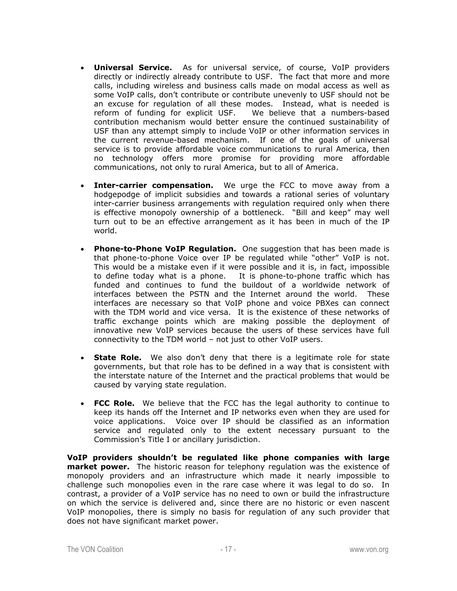- **Universal Service.** As for universal service, of course, VoIP providers directly or indirectly already contribute to USF. The fact that more and more calls, including wireless and business calls made on modal access as well as some VoIP calls, don't contribute or contribute unevenly to USF should not be an excuse for regulation of all these modes. Instead, what is needed is reform of funding for explicit USF. We believe that a numbers-based contribution mechanism would better ensure the continued sustainability of USF than any attempt simply to include VoIP or other information services in the current revenue-based mechanism. If one of the goals of universal service is to provide affordable voice communications to rural America, then no technology offers more promise for providing more affordable communications, not only to rural America, but to all of America.
- **Inter-carrier compensation.** We urge the FCC to move away from a hodgepodge of implicit subsidies and towards a rational series of voluntary inter-carrier business arrangements with regulation required only when there is effective monopoly ownership of a bottleneck. "Bill and keep" may well turn out to be an effective arrangement as it has been in much of the IP world.
- **Phone-to-Phone VoIP Regulation.** One suggestion that has been made is that phone-to-phone Voice over IP be regulated while "other" VoIP is not. This would be a mistake even if it were possible and it is, in fact, impossible to define today what is a phone. It is phone-to-phone traffic which has funded and continues to fund the buildout of a worldwide network of interfaces between the PSTN and the Internet around the world. These interfaces are necessary so that VoIP phone and voice PBXes can connect with the TDM world and vice versa. It is the existence of these networks of traffic exchange points which are making possible the deployment of innovative new VoIP services because the users of these services have full connectivity to the TDM world – not just to other VoIP users.
- **State Role.** We also don't deny that there is a legitimate role for state governments, but that role has to be defined in a way that is consistent with the interstate nature of the Internet and the practical problems that would be caused by varying state regulation.
- **FCC Role.** We believe that the FCC has the legal authority to continue to keep its hands off the Internet and IP networks even when they are used for voice applications. Voice over IP should be classified as an information service and regulated only to the extent necessary pursuant to the Commission's Title I or ancillary jurisdiction.

**VoIP providers shouldn't be regulated like phone companies with large market power.** The historic reason for telephony regulation was the existence of monopoly providers and an infrastructure which made it nearly impossible to challenge such monopolies even in the rare case where it was legal to do so. In contrast, a provider of a VoIP service has no need to own or build the infrastructure on which the service is delivered and, since there are no historic or even nascent VoIP monopolies, there is simply no basis for regulation of any such provider that does not have significant market power.